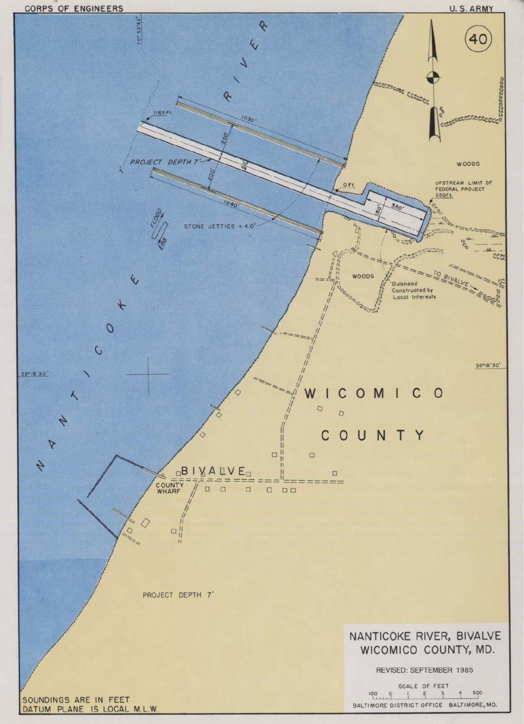